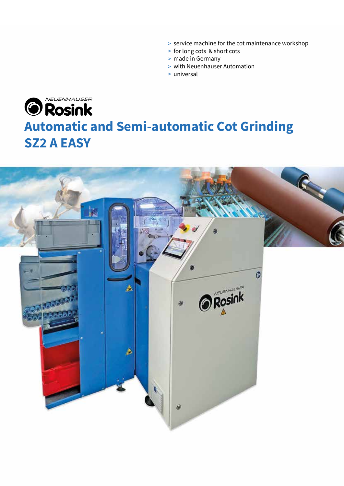- > service machine for the cot maintenance workshop
- for long cots & short cots >
- > made in Germany
- with Neuenhauser Automation >
- universal >

## NEUENHAUSER **O** Rosink **Automatic and Semi-automatic Cot Grinding SZ2 A EASY**